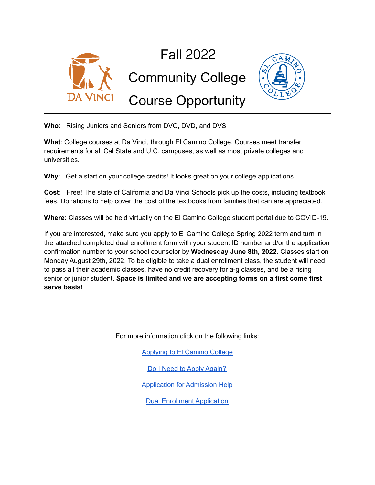

**Who**: Rising Juniors and Seniors from DVC, DVD, and DVS

**What**: College courses at Da Vinci, through El Camino College. Courses meet transfer requirements for all Cal State and U.C. campuses, as well as most private colleges and universities.

**Why**: Get a start on your college credits! It looks great on your college applications.

**Cost**: Free! The state of California and Da Vinci Schools pick up the costs, including textbook fees. Donations to help cover the cost of the textbooks from families that can are appreciated.

**Where**: Classes will be held virtually on the El Camino College student portal due to COVID-19.

If you are interested, make sure you apply to El Camino College Spring 2022 term and turn in the attached completed dual enrollment form with your student ID number and/or the application confirmation number to your school counselor by **Wednesday June 8th, 2022**. Classes start on Monday August 29th, 2022. To be eligible to take a dual enrollment class, the student will need to pass all their academic classes, have no credit recovery for a-g classes, and be a rising senior or junior student. **Space is limited and we are accepting forms on a first come first serve basis!**

For more information click on the following links:

[Applying](http://www.elcamino.edu/apply) to El Camino College

Do I Need to Apply [Again?](https://www.elcamino.edu/admissions/student/highschool/docs/Dual%20Enrollment%20Apply%20Again.pdf)

[Application](https://www.elcamino.edu/admissions/outreach/docs/ECC-ApplyforAdmission.pdf) for Admission Help

Dual Enrollment [Application](https://dvc.davincischools.org/wp-content/uploads/2020/08/DE_App_ONLY.pdf)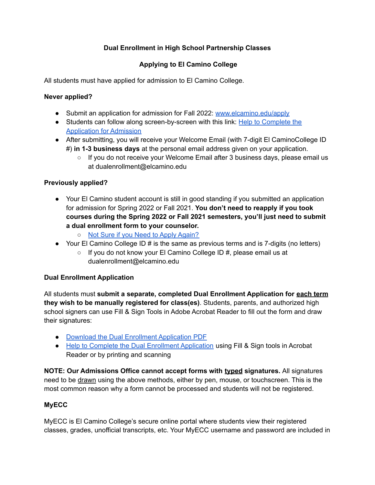# **Dual Enrollment in High School Partnership Classes**

# **Applying to El Camino College**

All students must have applied for admission to El Camino College.

### **Never applied?**

- Submit an application for admission for Fall 2022: [www.elcamino.edu/apply](https://www.elcamino.edu/apply/)
- Students can follow along screen-by-screen with this link: Help to [Complete](https://www.elcamino.edu/admissions/outreach/docs/ECC-ApplyforAdmission.pdf) the [Application](https://www.elcamino.edu/admissions/outreach/docs/ECC-ApplyforAdmission.pdf) for Admission
- After submitting, you will receive your Welcome Email (with 7-digit El CaminoCollege ID #) **in 1-3 business days** at the personal email address given on your application.
	- If you do not receive your Welcome Email after 3 business days, please email us at dualenrollment@elcamino.edu

### **Previously applied?**

- Your El Camino student account is still in good standing if you submitted an application for admission for Spring 2022 or Fall 2021. **You don't need to reapply if you took courses during the Spring 2022 or Fall 2021 semesters, you'll just need to submit a dual enrollment form to your counselor.**
	- Not Sure if you Need to Apply [Again?](https://www.elcamino.edu/admissions/student/highschool/docs/Dual%20Enrollment%20Apply%20Again.pdf)
- Your El Camino College ID  $\#$  is the same as previous terms and is 7-digits (no letters)
	- If you do not know your El Camino College ID #, please email us at dualenrollment@elcamino.edu

## **Dual Enrollment Application**

All students must **submit a separate, completed Dual Enrollment Application for each term they wish to be manually registered for class(es)**. Students, parents, and authorized high school signers can use Fill & Sign Tools in Adobe Acrobat Reader to fill out the form and draw their signatures:

- Download the Dual Enrollment [Application](https://www.elcamino.edu/admissions/student/highschool/docs/dual-enrollment-application.pdf) PDF
- Help to Complete the Dual Enrollment [Application](https://www.elcamino.edu/admissions/student/highschool/docs/Dual%20Enrollment%20Application%20Help.pdf) using Fill & Sign tools in Acrobat Reader or by printing and scanning

**NOTE: Our Admissions Office cannot accept forms with typed signatures.** All signatures need to be drawn using the above methods, either by pen, mouse, or touchscreen. This is the most common reason why a form cannot be processed and students will not be registered.

## **MyECC**

MyECC is El Camino College's secure online portal where students view their registered classes, grades, unofficial transcripts, etc. Your MyECC username and password are included in